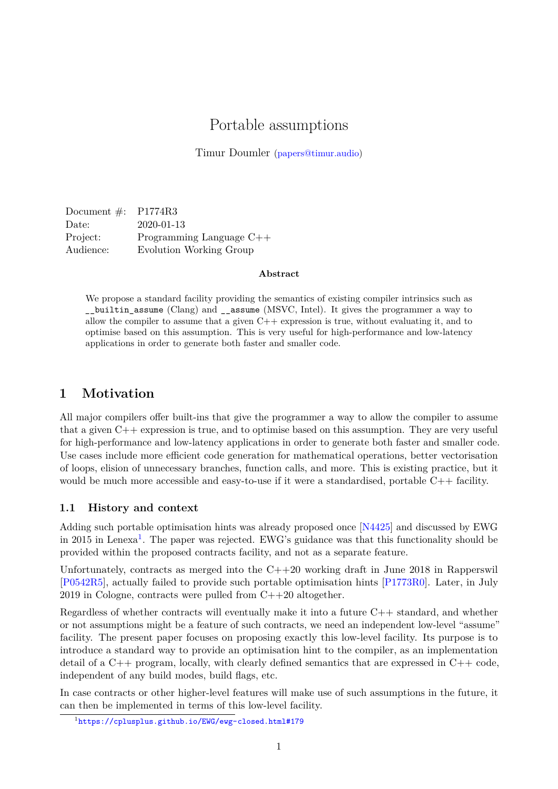# Portable assumptions

Timur Doumler [\(papers@timur.audio\)](mailto:papers@timur.audio)

Document #: P1774R3 Date: 2020-01-13 Project: Programming Language C++ Audience: Evolution Working Group

#### **Abstract**

We propose a standard facility providing the semantics of existing compiler intrinsics such as \_\_builtin\_assume (Clang) and \_\_assume (MSVC, Intel). It gives the programmer a way to allow the compiler to assume that a given  $C++$  expression is true, without evaluating it, and to optimise based on this assumption. This is very useful for high-performance and low-latency applications in order to generate both faster and smaller code.

### **1 Motivation**

All major compilers offer built-ins that give the programmer a way to allow the compiler to assume that a given C++ expression is true, and to optimise based on this assumption. They are very useful for high-performance and low-latency applications in order to generate both faster and smaller code. Use cases include more efficient code generation for mathematical operations, better vectorisation of loops, elision of unnecessary branches, function calls, and more. This is existing practice, but it would be much more accessible and easy-to-use if it were a standardised, portable C++ facility.

#### **1.1 History and context**

Adding such portable optimisation hints was already proposed once [\[N4425\]](#page-4-0) and discussed by EWG in 20[1](#page-0-0)5 in Lenexa<sup>1</sup>. The paper was rejected. EWG's guidance was that this functionality should be provided within the proposed contracts facility, and not as a separate feature.

Unfortunately, contracts as merged into the  $C++20$  working draft in June 2018 in Rapperswil [\[P0542R5\]](#page-4-1), actually failed to provide such portable optimisation hints [\[P1773R0\]](#page-4-2). Later, in July 2019 in Cologne, contracts were pulled from C++20 altogether.

Regardless of whether contracts will eventually make it into a future C++ standard, and whether or not assumptions might be a feature of such contracts, we need an independent low-level "assume" facility. The present paper focuses on proposing exactly this low-level facility. Its purpose is to introduce a standard way to provide an optimisation hint to the compiler, as an implementation detail of a  $C_{++}$  program, locally, with clearly defined semantics that are expressed in  $C_{++}$  code, independent of any build modes, build flags, etc.

In case contracts or other higher-level features will make use of such assumptions in the future, it can then be implemented in terms of this low-level facility.

<span id="page-0-0"></span><sup>1</sup> <https://cplusplus.github.io/EWG/ewg-closed.html#179>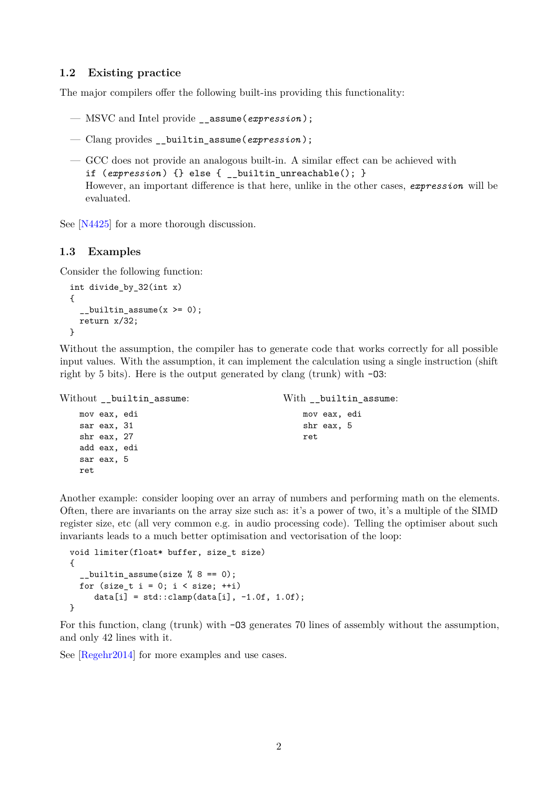#### **1.2 Existing practice**

The major compilers offer the following built-ins providing this functionality:

- MSVC and Intel provide \_\_assume(*expression* );
- Clang provides \_\_builtin\_assume(*expression* );
- GCC does not provide an analogous built-in. A similar effect can be achieved with if (*expression* ) {} else { \_\_builtin\_unreachable(); } However, an important difference is that here, unlike in the other cases, *expression* will be evaluated.

See [\[N4425\]](#page-4-0) for a more thorough discussion.

#### **1.3 Examples**

Consider the following function:

```
int divide_by_32(int x)
{
  _{2}builtin_assume(x >= 0);
  return x/32;
}
```
Without the assumption, the compiler has to generate code that works correctly for all possible input values. With the assumption, it can implement the calculation using a single instruction (shift right by 5 bits). Here is the output generated by clang (trunk) with -O3:

```
Without builtin assume:
   mov eax, edi
   sar eax, 31
   shr eax, 27
   add eax, edi
   sar eax, 5
   ret
                                             With builtin assume:
                                                 mov eax, edi
                                                 shr eax, 5
                                                 ret
```
Another example: consider looping over an array of numbers and performing math on the elements. Often, there are invariants on the array size such as: it's a power of two, it's a multiple of the SIMD register size, etc (all very common e.g. in audio processing code). Telling the optimiser about such invariants leads to a much better optimisation and vectorisation of the loop:

```
void limiter(float* buffer, size t size)
{
  _builtin_assume(size % 8 == 0);
  for (size_t i = 0; i < size; ++i)
     data[i] = std::clamp(data[i], -1.0f, 1.0f);}
```
For this function, clang (trunk) with -O3 generates 70 lines of assembly without the assumption, and only 42 lines with it.

See [\[Regehr2014\]](#page-4-3) for more examples and use cases.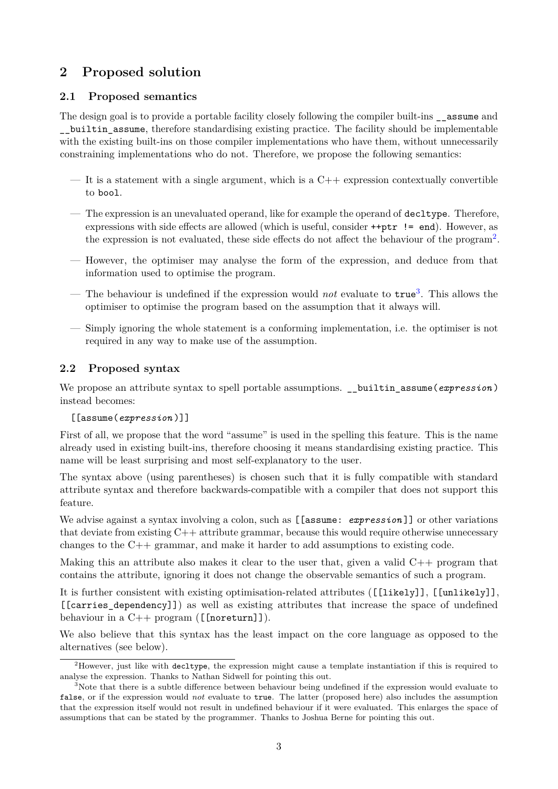## **2 Proposed solution**

## **2.1 Proposed semantics**

The design goal is to provide a portable facility closely following the compiler built-ins \_\_assume and \_\_builtin\_assume, therefore standardising existing practice. The facility should be implementable with the existing built-ins on those compiler implementations who have them, without unnecessarily constraining implementations who do not. Therefore, we propose the following semantics:

- It is a statement with a single argument, which is a  $C++$  expression contextually convertible to bool.
- The expression is an unevaluated operand, like for example the operand of decltype. Therefore, expressions with side effects are allowed (which is useful, consider ++ptr != end). However, as the expression is not evaluated, these side effects do not affect the behaviour of the program<sup>[2](#page-2-0)</sup>.
- However, the optimiser may analyse the form of the expression, and deduce from that information used to optimise the program.
- The behaviour is undefined if the expression would *not* evaluate to true[3](#page-2-1) . This allows the optimiser to optimise the program based on the assumption that it always will.
- Simply ignoring the whole statement is a conforming implementation, i.e. the optimiser is not required in any way to make use of the assumption.

## **2.2 Proposed syntax**

We propose an attribute syntax to spell portable assumptions. \_\_builtin\_assume(*expression*) instead becomes:

#### [[assume(*expression* )]]

First of all, we propose that the word "assume" is used in the spelling this feature. This is the name already used in existing built-ins, therefore choosing it means standardising existing practice. This name will be least surprising and most self-explanatory to the user.

The syntax above (using parentheses) is chosen such that it is fully compatible with standard attribute syntax and therefore backwards-compatible with a compiler that does not support this feature.

We advise against a syntax involving a colon, such as [[assume: *expression*]] or other variations that deviate from existing C++ attribute grammar, because this would require otherwise unnecessary changes to the C++ grammar, and make it harder to add assumptions to existing code.

Making this an attribute also makes it clear to the user that, given a valid  $C_{++}$  program that contains the attribute, ignoring it does not change the observable semantics of such a program.

It is further consistent with existing optimisation-related attributes ([[likely]], [[unlikely]], [[carries\_dependency]]) as well as existing attributes that increase the space of undefined behaviour in a  $C++$  program ([[noreturn]]).

We also believe that this syntax has the least impact on the core language as opposed to the alternatives (see below).

<span id="page-2-0"></span><sup>&</sup>lt;sup>2</sup>However, just like with decltype, the expression might cause a template instantiation if this is required to analyse the expression. Thanks to Nathan Sidwell for pointing this out.

<span id="page-2-1"></span><sup>&</sup>lt;sup>3</sup>Note that there is a subtle difference between behaviour being undefined if the expression would evaluate to false, or if the expression would *not* evaluate to true. The latter (proposed here) also includes the assumption that the expression itself would not result in undefined behaviour if it were evaluated. This enlarges the space of assumptions that can be stated by the programmer. Thanks to Joshua Berne for pointing this out.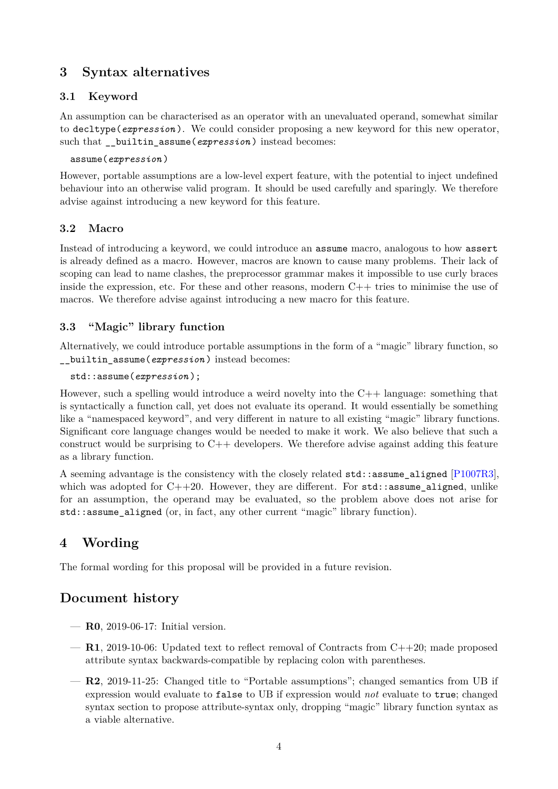## **3 Syntax alternatives**

## **3.1 Keyword**

An assumption can be characterised as an operator with an unevaluated operand, somewhat similar to decltype(*expression* ). We could consider proposing a new keyword for this new operator, such that **builtin** assume(*expression*) instead becomes:

#### assume(*expression* )

However, portable assumptions are a low-level expert feature, with the potential to inject undefined behaviour into an otherwise valid program. It should be used carefully and sparingly. We therefore advise against introducing a new keyword for this feature.

## **3.2 Macro**

Instead of introducing a keyword, we could introduce an assume macro, analogous to how assert is already defined as a macro. However, macros are known to cause many problems. Their lack of scoping can lead to name clashes, the preprocessor grammar makes it impossible to use curly braces inside the expression, etc. For these and other reasons, modern  $C++$  tries to minimise the use of macros. We therefore advise against introducing a new macro for this feature.

## **3.3 "Magic" library function**

Alternatively, we could introduce portable assumptions in the form of a "magic" library function, so \_\_builtin\_assume(*expression* ) instead becomes:

```
std::assume(expression );
```
However, such a spelling would introduce a weird novelty into the  $C++$  language: something that is syntactically a function call, yet does not evaluate its operand. It would essentially be something like a "namespaced keyword", and very different in nature to all existing "magic" library functions. Significant core language changes would be needed to make it work. We also believe that such a construct would be surprising to  $C++$  developers. We therefore advise against adding this feature as a library function.

A seeming advantage is the consistency with the closely related std::assume\_aligned [\[P1007R3\]](#page-4-4), which was adopted for  $C++20$ . However, they are different. For  $std$ :: assume aligned, unlike for an assumption, the operand may be evaluated, so the problem above does not arise for  $std:$ : assume aligned (or, in fact, any other current "magic" library function).

# **4 Wording**

The formal wording for this proposal will be provided in a future revision.

# **Document history**

- **R0**, 2019-06-17: Initial version.
- **R1**, 2019-10-06: Updated text to reflect removal of Contracts from C++20; made proposed attribute syntax backwards-compatible by replacing colon with parentheses.
- **R2**, 2019-11-25: Changed title to "Portable assumptions"; changed semantics from UB if expression would evaluate to false to UB if expression would *not* evaluate to true; changed syntax section to propose attribute-syntax only, dropping "magic" library function syntax as a viable alternative.